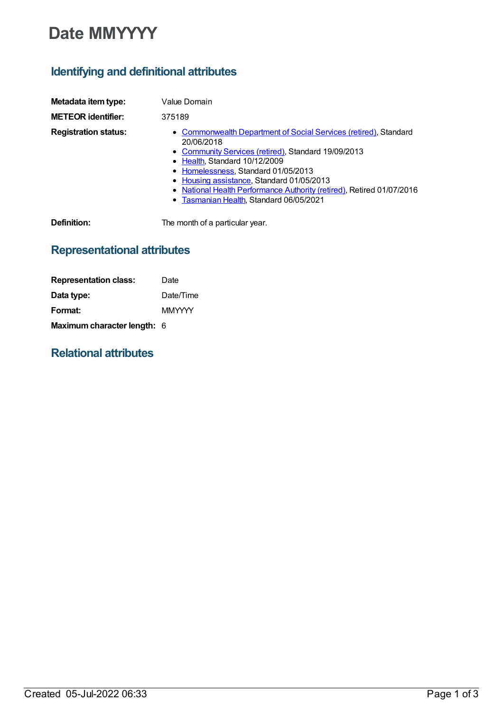# **Date MMYYYY**

## **Identifying and definitional attributes**

| Metadata item type:         | Value Domain                                                                                                                                                                                                                                                                                                                                                                   |
|-----------------------------|--------------------------------------------------------------------------------------------------------------------------------------------------------------------------------------------------------------------------------------------------------------------------------------------------------------------------------------------------------------------------------|
| <b>METEOR identifier:</b>   | 375189                                                                                                                                                                                                                                                                                                                                                                         |
| <b>Registration status:</b> | • Commonwealth Department of Social Services (retired), Standard<br>20/06/2018<br>• Community Services (retired), Standard 19/09/2013<br>• Health, Standard 10/12/2009<br>• Homelessness, Standard 01/05/2013<br>• Housing assistance, Standard 01/05/2013<br>• National Health Performance Authority (retired), Retired 01/07/2016<br>• Tasmanian Health, Standard 06/05/2021 |
| <b>D.C. U.L.</b>            | The concernity of a reading the concern                                                                                                                                                                                                                                                                                                                                        |

**Definition:** The month of a particular year.

### **Representational attributes**

| <b>Representation class:</b>       | Date          |
|------------------------------------|---------------|
| Data type:                         | Date/Time     |
| Format:                            | <b>MMYYYY</b> |
| <b>Maximum character length: 6</b> |               |

### **Relational attributes**